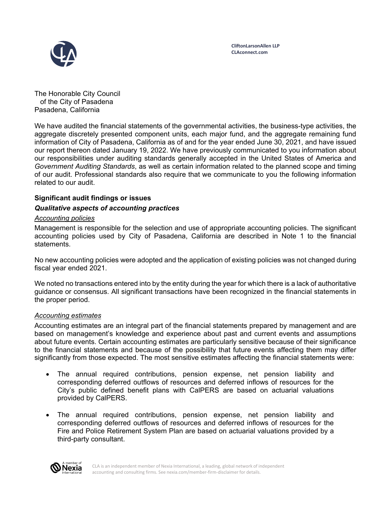

The Honorable City Council of the City of Pasadena Pasadena, California

We have audited the financial statements of the governmental activities, the business-type activities, the aggregate discretely presented component units, each major fund, and the aggregate remaining fund information of City of Pasadena, California as of and for the year ended June 30, 2021, and have issued our report thereon dated January 19, 2022. We have previously communicated to you information about our responsibilities under auditing standards generally accepted in the United States of America and *Government Auditing Standards*, as well as certain information related to the planned scope and timing of our audit. Professional standards also require that we communicate to you the following information related to our audit.

### **Significant audit findings or issues**

### *Qualitative aspects of accounting practices*

### *Accounting policies*

Management is responsible for the selection and use of appropriate accounting policies. The significant accounting policies used by City of Pasadena, California are described in Note 1 to the financial statements.

No new accounting policies were adopted and the application of existing policies was not changed during fiscal year ended 2021.

We noted no transactions entered into by the entity during the year for which there is a lack of authoritative guidance or consensus. All significant transactions have been recognized in the financial statements in the proper period.

#### *Accounting estimates*

Accounting estimates are an integral part of the financial statements prepared by management and are based on management's knowledge and experience about past and current events and assumptions about future events. Certain accounting estimates are particularly sensitive because of their significance to the financial statements and because of the possibility that future events affecting them may differ significantly from those expected. The most sensitive estimates affecting the financial statements were:

- The annual required contributions, pension expense, net pension liability and corresponding deferred outflows of resources and deferred inflows of resources for the City's public defined benefit plans with CalPERS are based on actuarial valuations provided by CalPERS.
- The annual required contributions, pension expense, net pension liability and corresponding deferred outflows of resources and deferred inflows of resources for the Fire and Police Retirement System Plan are based on actuarial valuations provided by a third-party consultant.

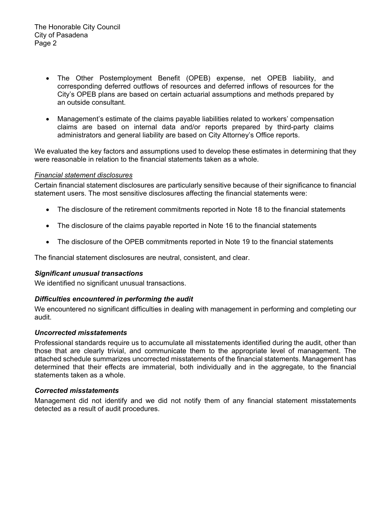- The Other Postemployment Benefit (OPEB) expense, net OPEB liability, and corresponding deferred outflows of resources and deferred inflows of resources for the City's OPEB plans are based on certain actuarial assumptions and methods prepared by an outside consultant.
- Management's estimate of the claims payable liabilities related to workers' compensation claims are based on internal data and/or reports prepared by third-party claims administrators and general liability are based on City Attorney's Office reports.

We evaluated the key factors and assumptions used to develop these estimates in determining that they were reasonable in relation to the financial statements taken as a whole.

### *Financial statement disclosures*

Certain financial statement disclosures are particularly sensitive because of their significance to financial statement users. The most sensitive disclosures affecting the financial statements were:

- The disclosure of the retirement commitments reported in Note 18 to the financial statements
- The disclosure of the claims payable reported in Note 16 to the financial statements
- The disclosure of the OPEB commitments reported in Note 19 to the financial statements

The financial statement disclosures are neutral, consistent, and clear.

#### *Significant unusual transactions*

We identified no significant unusual transactions.

#### *Difficulties encountered in performing the audit*

We encountered no significant difficulties in dealing with management in performing and completing our audit.

#### *Uncorrected misstatements*

Professional standards require us to accumulate all misstatements identified during the audit, other than those that are clearly trivial, and communicate them to the appropriate level of management. The attached schedule summarizes uncorrected misstatements of the financial statements. Management has determined that their effects are immaterial, both individually and in the aggregate, to the financial statements taken as a whole.

#### *Corrected misstatements*

Management did not identify and we did not notify them of any financial statement misstatements detected as a result of audit procedures.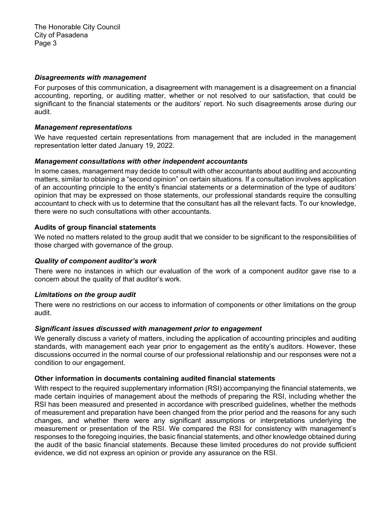#### *Disagreements with management*

For purposes of this communication, a disagreement with management is a disagreement on a financial accounting, reporting, or auditing matter, whether or not resolved to our satisfaction, that could be significant to the financial statements or the auditors' report. No such disagreements arose during our audit.

### *Management representations*

We have requested certain representations from management that are included in the management representation letter dated January 19, 2022.

### *Management consultations with other independent accountants*

In some cases, management may decide to consult with other accountants about auditing and accounting matters, similar to obtaining a "second opinion" on certain situations. If a consultation involves application of an accounting principle to the entity's financial statements or a determination of the type of auditors' opinion that may be expressed on those statements, our professional standards require the consulting accountant to check with us to determine that the consultant has all the relevant facts. To our knowledge, there were no such consultations with other accountants.

# **Audits of group financial statements**

We noted no matters related to the group audit that we consider to be significant to the responsibilities of those charged with governance of the group.

# *Quality of component auditor's work*

There were no instances in which our evaluation of the work of a component auditor gave rise to a concern about the quality of that auditor's work.

# *Limitations on the group audit*

There were no restrictions on our access to information of components or other limitations on the group audit.

# *Significant issues discussed with management prior to engagement*

We generally discuss a variety of matters, including the application of accounting principles and auditing standards, with management each year prior to engagement as the entity's auditors. However, these discussions occurred in the normal course of our professional relationship and our responses were not a condition to our engagement.

# **Other information in documents containing audited financial statements**

With respect to the required supplementary information (RSI) accompanying the financial statements, we made certain inquiries of management about the methods of preparing the RSI, including whether the RSI has been measured and presented in accordance with prescribed guidelines, whether the methods of measurement and preparation have been changed from the prior period and the reasons for any such changes, and whether there were any significant assumptions or interpretations underlying the measurement or presentation of the RSI. We compared the RSI for consistency with management's responses to the foregoing inquiries, the basic financial statements, and other knowledge obtained during the audit of the basic financial statements. Because these limited procedures do not provide sufficient evidence, we did not express an opinion or provide any assurance on the RSI.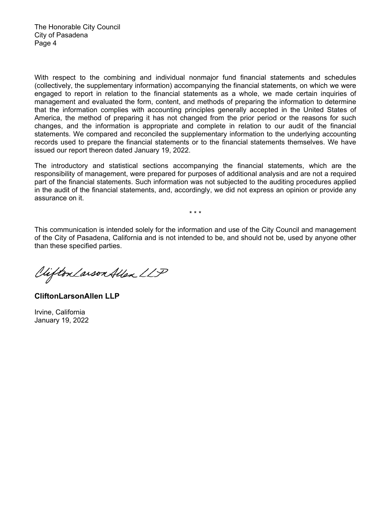With respect to the combining and individual nonmajor fund financial statements and schedules (collectively, the supplementary information) accompanying the financial statements, on which we were engaged to report in relation to the financial statements as a whole, we made certain inquiries of management and evaluated the form, content, and methods of preparing the information to determine that the information complies with accounting principles generally accepted in the United States of America, the method of preparing it has not changed from the prior period or the reasons for such changes, and the information is appropriate and complete in relation to our audit of the financial statements. We compared and reconciled the supplementary information to the underlying accounting records used to prepare the financial statements or to the financial statements themselves. We have issued our report thereon dated January 19, 2022.

The introductory and statistical sections accompanying the financial statements, which are the responsibility of management, were prepared for purposes of additional analysis and are not a required part of the financial statements. Such information was not subjected to the auditing procedures applied in the audit of the financial statements, and, accordingly, we did not express an opinion or provide any assurance on it.

This communication is intended solely for the information and use of the City Council and management of the City of Pasadena, California and is not intended to be, and should not be, used by anyone other than these specified parties.

\* \* \*

Vifton Larson Allen LLP

**CliftonLarsonAllen LLP** 

Irvine, California January 19, 2022